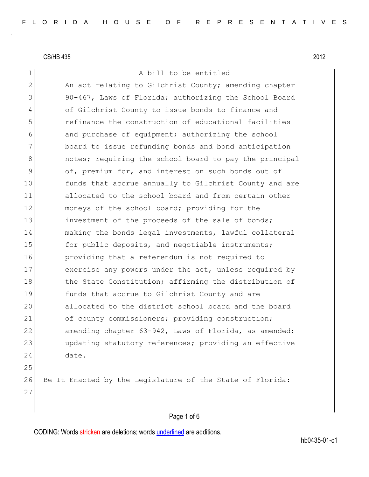1 A bill to be entitled

2 An act relating to Gilchrist County; amending chapter 3 90-467, Laws of Florida; authorizing the School Board 4 of Gilchrist County to issue bonds to finance and 5 refinance the construction of educational facilities 6 6 and purchase of equipment; authorizing the school 7 board to issue refunding bonds and bond anticipation 8 8 6 10 notes; requiring the school board to pay the principal 9 of, premium for, and interest on such bonds out of 10 funds that accrue annually to Gilchrist County and are 11 allocated to the school board and from certain other 12 moneys of the school board; providing for the 13 investment of the proceeds of the sale of bonds; 14 making the bonds legal investments, lawful collateral 15 for public deposits, and negotiable instruments; 16 providing that a referendum is not required to 17 exercise any powers under the act, unless required by 18 the State Constitution; affirming the distribution of 19 funds that accrue to Gilchrist County and are 20 allocated to the district school board and the board 21 of county commissioners; providing construction; 22 amending chapter 63-942, Laws of Florida, as amended; 23 updating statutory references; providing an effective 24 date. 25

26 Be It Enacted by the Legislature of the State of Florida: 27

CODING: Words stricken are deletions; words underlined are additions.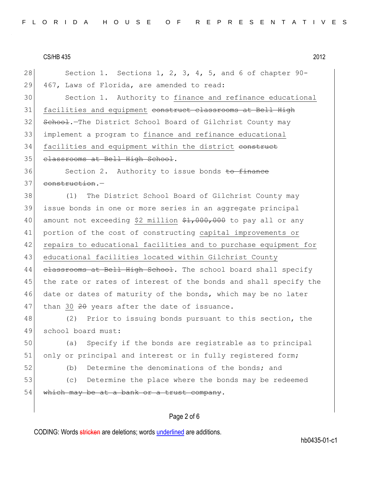| 28 | Section 1. Sections 1, 2, 3, 4, 5, and 6 of chapter 90-          |
|----|------------------------------------------------------------------|
| 29 | 467, Laws of Florida, are amended to read:                       |
| 30 | Section 1. Authority to finance and refinance educational        |
| 31 | facilities and equipment construct classrooms at Bell High       |
| 32 | School. The District School Board of Gilchrist County may        |
| 33 | implement a program to finance and refinance educational         |
| 34 | facilities and equipment within the district construct           |
| 35 | classrooms at Bell High School.                                  |
| 36 | Section 2. Authority to issue bonds to finance                   |
| 37 | construction.-                                                   |
| 38 | The District School Board of Gilchrist County may<br>(1)         |
| 39 | issue bonds in one or more series in an aggregate principal      |
| 40 | amount not exceeding \$2 million \$1,000,000 to pay all or any   |
| 41 | portion of the cost of constructing capital improvements or      |
| 42 | repairs to educational facilities and to purchase equipment for  |
| 43 | educational facilities located within Gilchrist County           |
| 44 | elassrooms at Bell High School. The school board shall specify   |
| 45 | the rate or rates of interest of the bonds and shall specify the |
| 46 | date or dates of maturity of the bonds, which may be no later    |
| 47 | than 30 20 years after the date of issuance.                     |
| 48 | (2) Prior to issuing bonds pursuant to this section, the         |
| 49 | school board must:                                               |
| 50 | Specify if the bonds are registrable as to principal<br>(a)      |
| 51 | only or principal and interest or in fully registered form;      |
| 52 | Determine the denominations of the bonds; and<br>(b)             |
| 53 | Determine the place where the bonds may be redeemed<br>(C)       |
| 54 | which may be at a bank or a trust company.                       |
|    |                                                                  |
|    |                                                                  |

# Page 2 of 6

CODING: Words *stricken* are deletions; words **underlined** are additions.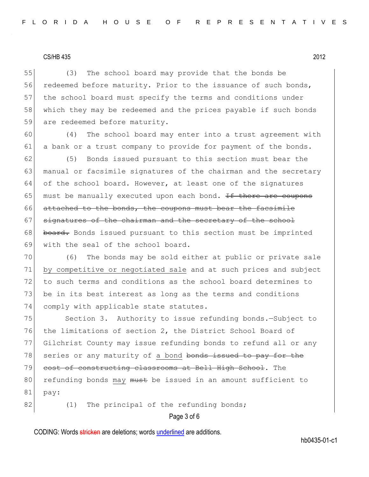55 (3) The school board may provide that the bonds be 56 redeemed before maturity. Prior to the issuance of such bonds, 57 the school board must specify the terms and conditions under 58 which they may be redeemed and the prices payable if such bonds 59 are redeemed before maturity.

60 (4) The school board may enter into a trust agreement with 61 a bank or a trust company to provide for payment of the bonds.

62 (5) Bonds issued pursuant to this section must bear the 63 manual or facsimile signatures of the chairman and the secretary 64 of the school board. However, at least one of the signatures 65 must be manually executed upon each bond. If there are coupons 66 attached to the bonds, the coupons must bear the facsimile 67 signatures of the chairman and the secretary of the school 68 board. Bonds issued pursuant to this section must be imprinted 69 with the seal of the school board.

70 (6) The bonds may be sold either at public or private sale 71 by competitive or negotiated sale and at such prices and subject 72 to such terms and conditions as the school board determines to 73 be in its best interest as long as the terms and conditions 74 comply with applicable state statutes.

75 Section 3. Authority to issue refunding bonds. - Subject to 76 the limitations of section 2, the District School Board of 77 Gilchrist County may issue refunding bonds to refund all or any 78 series or any maturity of a bond bonds issued to pay for the 79 cost of constructing classrooms at Bell High School. The 80 refunding bonds may must be issued in an amount sufficient to 81 pay:

 $82$  (1) The principal of the refunding bonds;

Page 3 of 6

CODING: Words stricken are deletions; words underlined are additions.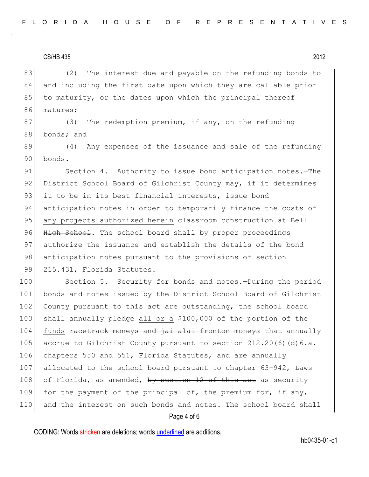83 (2) The interest due and payable on the refunding bonds to 84 and including the first date upon which they are callable prior 85 to maturity, or the dates upon which the principal thereof 86 matures;

87 (3) The redemption premium, if any, on the refunding 88 bonds; and

89 (4) Any expenses of the issuance and sale of the refunding 90 bonds.

91 Section 4. Authority to issue bond anticipation notes. The 92 District School Board of Gilchrist County may, if it determines 93 it to be in its best financial interests, issue bond 94 anticipation notes in order to temporarily finance the costs of 95 any projects authorized herein classroom construction at Bell 96 High School. The school board shall by proper proceedings 97 authorize the issuance and establish the details of the bond 98 anticipation notes pursuant to the provisions of section 99 215.431, Florida Statutes.

100 Section 5. Security for bonds and notes.-During the period 101 bonds and notes issued by the District School Board of Gilchrist 102 County pursuant to this act are outstanding, the school board 103 shall annually pledge all or a \$100,000 of the portion of the 104 funds racetrack moneys and jai alai fronton moneys that annually 105 accrue to Gilchrist County pursuant to section 212.20(6)(d)6.a. 106 chapters 550 and 551, Florida Statutes, and are annually 107 allocated to the school board pursuant to chapter 63-942, Laws 108 of Florida, as amended, by section 12 of this act as security 109 for the payment of the principal of, the premium for, if any, 110 and the interest on such bonds and notes. The school board shall

#### Page 4 of 6

CODING: Words stricken are deletions; words underlined are additions.

hb0435-01-c1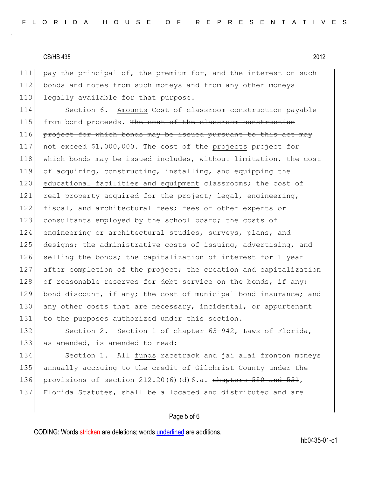111 pay the principal of, the premium for, and the interest on such 112 bonds and notes from such moneys and from any other moneys 113 legally available for that purpose.

114 Section 6. Amounts Cost of classroom construction payable 115 from bond proceeds. The cost of the classroom construction  $116$  project for which bonds may be issued pursuant to this act may 117 not exceed \$1,000,000. The cost of the projects project for 118 which bonds may be issued includes, without limitation, the cost 119 of acquiring, constructing, installing, and equipping the 120 educational facilities and equipment classrooms; the cost of 121 real property acquired for the project; legal, engineering, 122 fiscal, and architectural fees; fees of other experts or 123 consultants employed by the school board; the costs of 124 engineering or architectural studies, surveys, plans, and 125 designs; the administrative costs of issuing, advertising, and 126 selling the bonds; the capitalization of interest for 1 year 127 after completion of the project; the creation and capitalization 128 of reasonable reserves for debt service on the bonds, if any; 129 bond discount, if any; the cost of municipal bond insurance; and 130 any other costs that are necessary, incidental, or appurtenant 131 to the purposes authorized under this section.

132 Section 2. Section 1 of chapter 63-942, Laws of Florida, 133 as amended, is amended to read:

134 Section 1. All funds racetrack and jai alai fronton moneys 135 annually accruing to the credit of Gilchrist County under the 136 provisions of section  $212.20(6)(d)6.a.$  chapters  $550$  and  $551,$ 137 Florida Statutes, shall be allocated and distributed and are

#### Page 5 of 6

CODING: Words stricken are deletions; words underlined are additions.

hb0435-01-c1